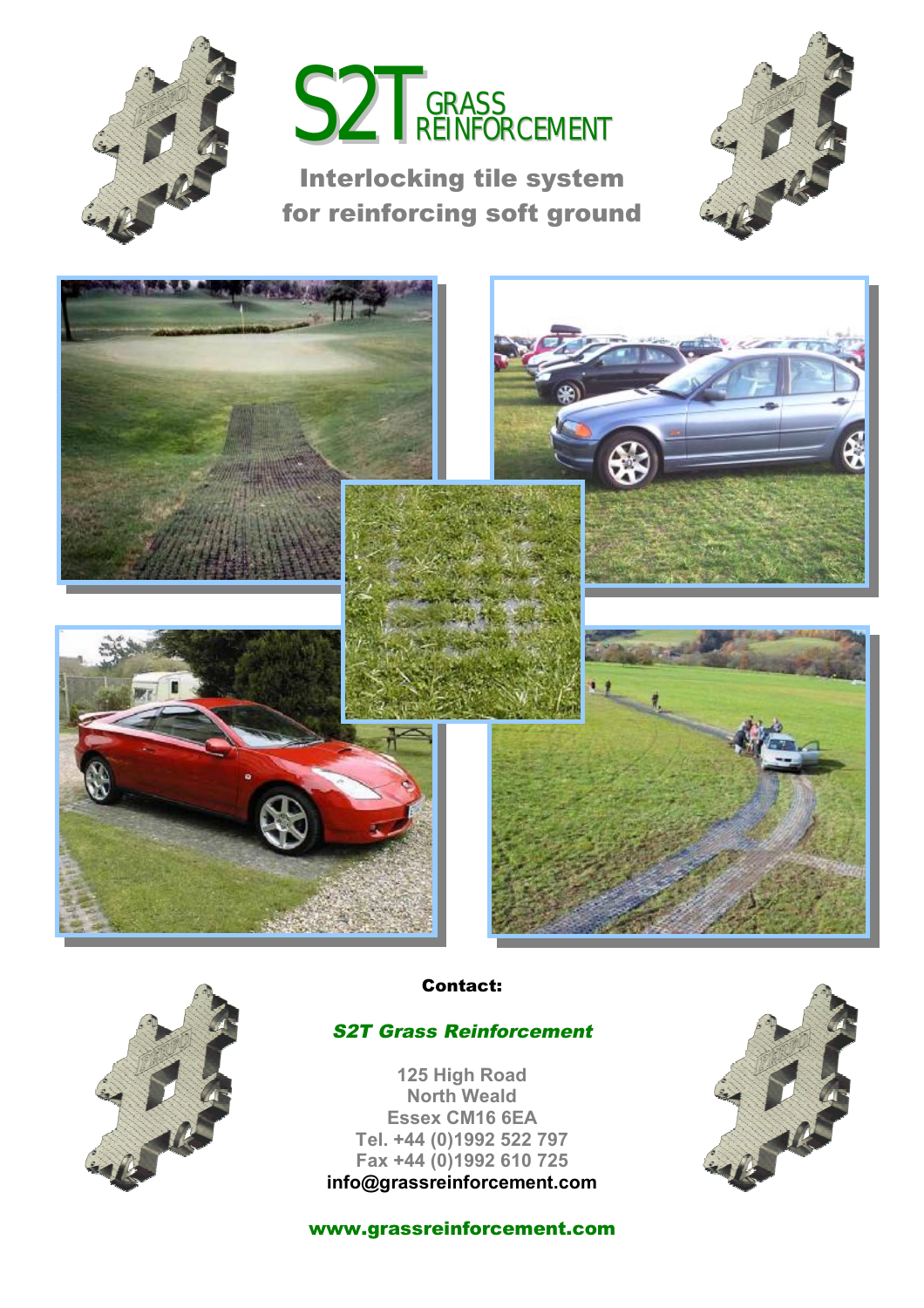



## **Interlocking tile system for reinforcing soft ground**







**Contact:** 

## *S2T Grass Reinforcement*

**125 High Road North Weald Essex CM16 6EA Tel. +44 (0)1992 522 797 Fax +44 (0)1992 610 725 [info@grassreinforcement.com](mailto:info@grassreinforcement.com)**



**[www.grassreinforcement.com](http://www.grassreinforcement.com)**